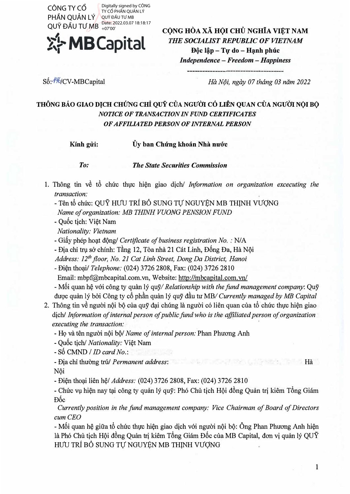PHẦN QUẢN LÝ QUŸ ĐẦU TƯ MB Date: 2022.03.07 18:18:17 Digitally signed by CÔNG TY CỔ PHẦN QUẢN LÝ QUỸ ĐẦU TƯ MB +07'00'



**C()NG HOA XA H()I CHU NGHiA Vl¢T NAM**  *THE SOCIALIST REPUBLIC OF VIETNAM*  **Dôc lâp – Tư do – Hanh phúc** *Independence* - *Freedom* - *Happiness*

Số: <sup>146</sup>/CV-MBCapital

*Ha N9i, ngay 07 thang 03 nam 2022* 

## **THONG BAO GIAO DJCH CHUNG** *cHi* **QUY CUA NGU'ffi** *c6* **LIEN QUAN CUA NGU'ffi N(>I B(>**  *NOTICE OF TRANSACTION IN FUND CERTIFICATES OF AFFILIATED PERSON OF INTERNAL PERSON*

**Kinh gi<sup>r</sup>**

**i: Uy ban Chung khoan Nha DU'O'C**

*To: The State Securities Commission* 

- 1. Thong tin v� *tb* chuc thvc hi�n giao dich/ *Information on organization excecuting the transaction:*
	- Ten *tb* chuc: QUY HUU TRI BO SUNG Tl} NGUYEN MB THlNH VUQNG *Name of organization: MB THINH VUONG PENS/ON FUND*
	- Qu6c tich: Vi�t Nam
	- *Nationality: Vietnam*
	- Giấy phép hoạt động/ *Certificate of business registration No.* : N/A
	- Địa chỉ trụ sở chính: Tầng 12, Tòa nhà 21 Cát Linh, Đống Đa, Hà Nội

*Address: 12th floor, No. 21 Cat Linh Street, Dong Da District, Hanoi* 

- Di�n tho�il *Telephone:* (024) 3726 2808, Fax: (024) 3726 2810
- Email: mbpf@mbcapital.com.vn, Website: http://mbcapital.com.vn/
- Mối quan hệ với công ty quản lý quỹ/ *Relationship with the fund management company*: Quỹ duqc quan ly b&i Cong ty cb phdn quan ly quy ddu tu MB/ *Currently managed by MB Capital*
- 2. Thông tin về người nội bộ của quỹ đại chúng là người có liên quan của tổ chức thực hiện giao dich/ *Information of internal person of public fund who is the affiliated person of organization executing the transaction:* CONG TYCHO (1979)<br>
CONG THÔN COUNTRIGATED TRANSFORMATION (THE NGHITA VIET NAM<br>
PHÂN COUALLY SURFACES TRANSFORMATION (THE SOCIETIES AND CERE NGHITA VIET NAM<br>
DOVE DÁO UTO ME SURFACES TRANSFORMATION (THE SOCIETIES ARE SURFA
	- Họ và tên người nội bộ/ *Name of internal person:* Phan Phương Anh
	- Qu6c tich/ *Nationality:* Vi�t Nam
	- S6 CMND *I ID card No.:*
	- Dia chi thuang tru/ *Permanent address:* Ha

- Nôi
- Di�n tho�i lien *Ml Address:* (024) 3726 2808, Fax: (024) 3726 2810

- Chức vụ hiện nay tại công ty quản lý quỹ: Phó Chủ tịch Hội đồng Quản trị kiêm Tổng Giám *Fine* 

*Currently position in the fund management company: Vice Chairman of Board of Directors cum CEO* 

- Mối quan hệ giữa tổ chức thực hiện giao dịch với người nội bộ: Ông Phan Phương Anh hiện là Phó Chủ tịch Hội đồng Quản trị kiêm Tổng Giám Đốc của MB Capital, đơn vị quản lý QUY HƯU TRÍ BỔ SUNG TỰ NGUYỆN MB THỊNH VƯỢNG